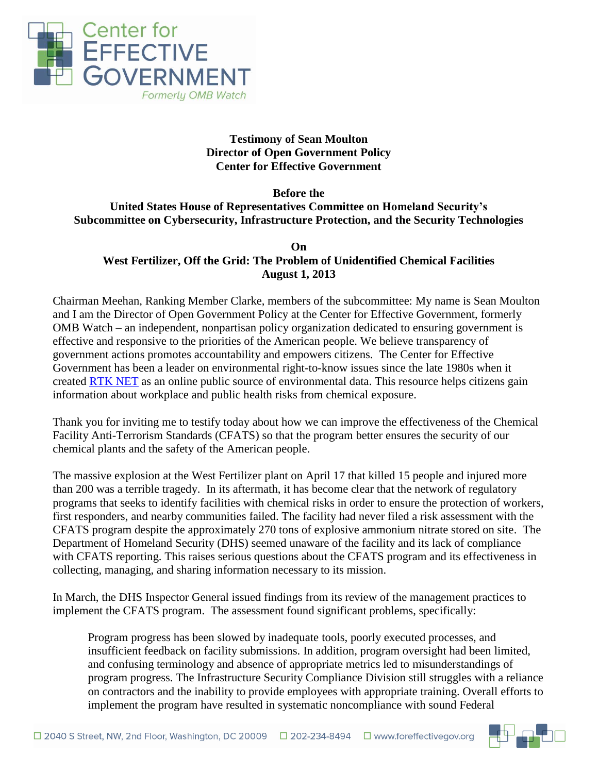

# **Testimony of Sean Moulton Director of Open Government Policy Center for Effective Government**

#### **Before the United States House of Representatives Committee on Homeland Security's Subcommittee on Cybersecurity, Infrastructure Protection, and the Security Technologies**

#### **On West Fertilizer, Off the Grid: The Problem of Unidentified Chemical Facilities August 1, 2013**

Chairman Meehan, Ranking Member Clarke, members of the subcommittee: My name is Sean Moulton and I am the Director of Open Government Policy at the Center for Effective Government, formerly OMB Watch – an independent, nonpartisan policy organization dedicated to ensuring government is effective and responsive to the priorities of the American people. We believe transparency of government actions promotes accountability and empowers citizens. The Center for Effective Government has been a leader on environmental right-to-know issues since the late 1980s when it created [RTK](http://www.rtknet.org/) NET as an online public source of environmental data. This resource helps citizens gain information about workplace and public health risks from chemical exposure.

Thank you for inviting me to testify today about how we can improve the effectiveness of the Chemical Facility Anti-Terrorism Standards (CFATS) so that the program better ensures the security of our chemical plants and the safety of the American people.

The massive explosion at the West Fertilizer plant on April 17 that killed 15 people and injured more than 200 was a terrible tragedy. In its aftermath, it has become clear that the network of regulatory programs that seeks to identify facilities with chemical risks in order to ensure the protection of workers, first responders, and nearby communities failed. The facility had never filed a risk assessment with the CFATS program despite the approximately 270 tons of explosive ammonium nitrate stored on site. The Department of Homeland Security (DHS) seemed unaware of the facility and its lack of compliance with CFATS reporting. This raises serious questions about the CFATS program and its effectiveness in collecting, managing, and sharing information necessary to its mission.

In March, the DHS Inspector General issued findings from its review of the management practices to implement the CFATS program. The assessment found significant problems, specifically:

Program progress has been slowed by inadequate tools, poorly executed processes, and insufficient feedback on facility submissions. In addition, program oversight had been limited, and confusing terminology and absence of appropriate metrics led to misunderstandings of program progress. The Infrastructure Security Compliance Division still struggles with a reliance on contractors and the inability to provide employees with appropriate training. Overall efforts to implement the program have resulted in systematic noncompliance with sound Federal

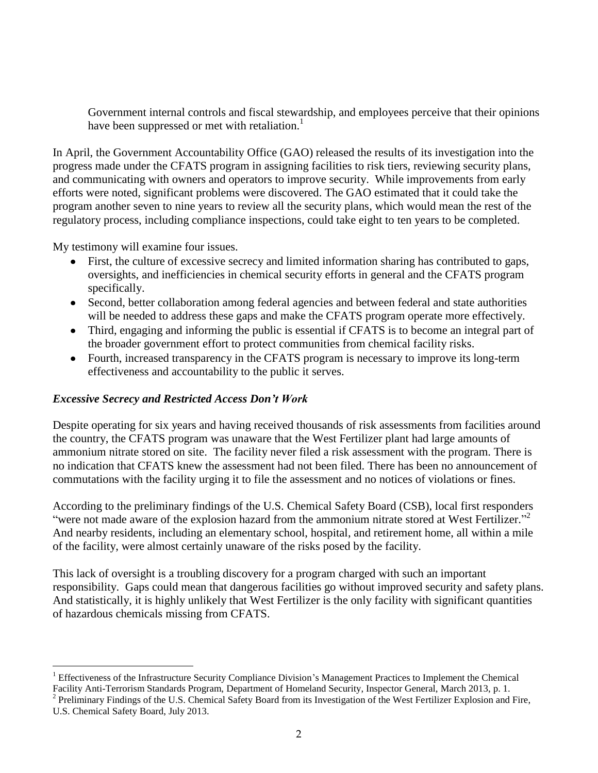Government internal controls and fiscal stewardship, and employees perceive that their opinions have been suppressed or met with retaliation.<sup>1</sup>

In April, the Government Accountability Office (GAO) released the results of its investigation into the progress made under the CFATS program in assigning facilities to risk tiers, reviewing security plans, and communicating with owners and operators to improve security. While improvements from early efforts were noted, significant problems were discovered. The GAO estimated that it could take the program another seven to nine years to review all the security plans, which would mean the rest of the regulatory process, including compliance inspections, could take eight to ten years to be completed.

My testimony will examine four issues.

 $\overline{a}$ 

- First, the culture of excessive secrecy and limited information sharing has contributed to gaps, oversights, and inefficiencies in chemical security efforts in general and the CFATS program specifically.
- Second, better collaboration among federal agencies and between federal and state authorities will be needed to address these gaps and make the CFATS program operate more effectively.
- Third, engaging and informing the public is essential if CFATS is to become an integral part of the broader government effort to protect communities from chemical facility risks.
- Fourth, increased transparency in the CFATS program is necessary to improve its long-term effectiveness and accountability to the public it serves.

## *Excessive Secrecy and Restricted Access Don't Work*

Despite operating for six years and having received thousands of risk assessments from facilities around the country, the CFATS program was unaware that the West Fertilizer plant had large amounts of ammonium nitrate stored on site. The facility never filed a risk assessment with the program. There is no indication that CFATS knew the assessment had not been filed. There has been no announcement of commutations with the facility urging it to file the assessment and no notices of violations or fines.

According to the preliminary findings of the U.S. Chemical Safety Board (CSB), local first responders "were not made aware of the explosion hazard from the ammonium nitrate stored at West Fertilizer."<sup>2</sup> And nearby residents, including an elementary school, hospital, and retirement home, all within a mile of the facility, were almost certainly unaware of the risks posed by the facility.

This lack of oversight is a troubling discovery for a program charged with such an important responsibility. Gaps could mean that dangerous facilities go without improved security and safety plans. And statistically, it is highly unlikely that West Fertilizer is the only facility with significant quantities of hazardous chemicals missing from CFATS.

<sup>1</sup> Effectiveness of the Infrastructure Security Compliance Division's Management Practices to Implement the Chemical Facility Anti-Terrorism Standards Program, Department of Homeland Security, Inspector General, March 2013, p. 1.

 $2$  Preliminary Findings of the U.S. Chemical Safety Board from its Investigation of the West Fertilizer Explosion and Fire, U.S. Chemical Safety Board, July 2013.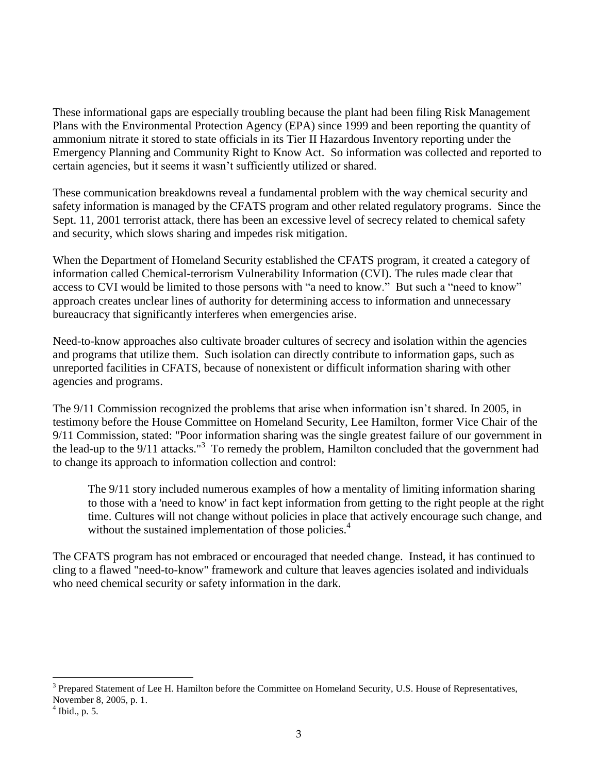These informational gaps are especially troubling because the plant had been filing Risk Management Plans with the Environmental Protection Agency (EPA) since 1999 and been reporting the quantity of ammonium nitrate it stored to state officials in its Tier II Hazardous Inventory reporting under the Emergency Planning and Community Right to Know Act. So information was collected and reported to certain agencies, but it seems it wasn't sufficiently utilized or shared.

These communication breakdowns reveal a fundamental problem with the way chemical security and safety information is managed by the CFATS program and other related regulatory programs. Since the Sept. 11, 2001 terrorist attack, there has been an excessive level of secrecy related to chemical safety and security, which slows sharing and impedes risk mitigation.

When the Department of Homeland Security established the CFATS program, it created a category of information called Chemical-terrorism Vulnerability Information (CVI). The rules made clear that access to CVI would be limited to those persons with "a need to know." But such a "need to know" approach creates unclear lines of authority for determining access to information and unnecessary bureaucracy that significantly interferes when emergencies arise.

Need-to-know approaches also cultivate broader cultures of secrecy and isolation within the agencies and programs that utilize them. Such isolation can directly contribute to information gaps, such as unreported facilities in CFATS, because of nonexistent or difficult information sharing with other agencies and programs.

The 9/11 Commission recognized the problems that arise when information isn't shared. In 2005, in testimony before the House Committee on Homeland Security, Lee Hamilton, former Vice Chair of the 9/11 Commission, stated: "Poor information sharing was the single greatest failure of our government in the lead-up to the 9/11 attacks."<sup>3</sup> To remedy the problem, Hamilton concluded that the government had to change its approach to information collection and control:

The 9/11 story included numerous examples of how a mentality of limiting information sharing to those with a 'need to know' in fact kept information from getting to the right people at the right time. Cultures will not change without policies in place that actively encourage such change, and without the sustained implementation of those policies.<sup>4</sup>

The CFATS program has not embraced or encouraged that needed change. Instead, it has continued to cling to a flawed "need-to-know" framework and culture that leaves agencies isolated and individuals who need chemical security or safety information in the dark.

 $\overline{a}$ 

<sup>&</sup>lt;sup>3</sup> Prepared Statement of Lee H. Hamilton before the Committee on Homeland Security, U.S. House of Representatives, November 8, 2005, p. 1.

 $<sup>4</sup>$  Ibid., p. 5.</sup>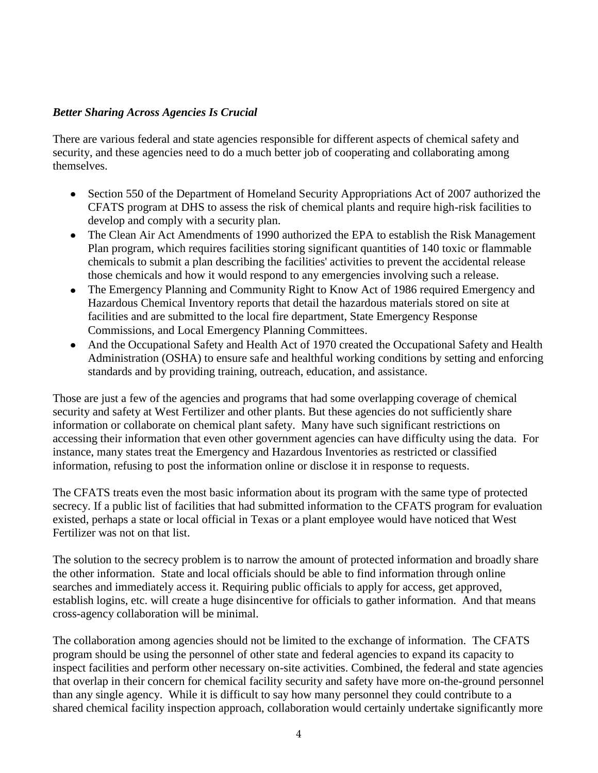## *Better Sharing Across Agencies Is Crucial*

There are various federal and state agencies responsible for different aspects of chemical safety and security, and these agencies need to do a much better job of cooperating and collaborating among themselves.

- Section 550 of the Department of Homeland Security Appropriations Act of 2007 authorized the  $\bullet$ CFATS program at DHS to assess the risk of chemical plants and require high-risk facilities to develop and comply with a security plan.
- The Clean Air Act Amendments of 1990 authorized the EPA to establish the Risk Management  $\bullet$ Plan program, which requires facilities storing significant quantities of 140 toxic or flammable chemicals to submit a plan describing the facilities' activities to prevent the accidental release those chemicals and how it would respond to any emergencies involving such a release.
- The Emergency Planning and Community Right to Know Act of 1986 required Emergency and Hazardous Chemical Inventory reports that detail the hazardous materials stored on site at facilities and are submitted to the local fire department, State Emergency Response Commissions, and Local Emergency Planning Committees.
- And the Occupational Safety and Health Act of 1970 created the Occupational Safety and Health Administration (OSHA) to ensure safe and healthful working conditions by setting and enforcing standards and by providing training, outreach, education, and assistance.

Those are just a few of the agencies and programs that had some overlapping coverage of chemical security and safety at West Fertilizer and other plants. But these agencies do not sufficiently share information or collaborate on chemical plant safety. Many have such significant restrictions on accessing their information that even other government agencies can have difficulty using the data. For instance, many states treat the Emergency and Hazardous Inventories as restricted or classified information, refusing to post the information online or disclose it in response to requests.

The CFATS treats even the most basic information about its program with the same type of protected secrecy. If a public list of facilities that had submitted information to the CFATS program for evaluation existed, perhaps a state or local official in Texas or a plant employee would have noticed that West Fertilizer was not on that list.

The solution to the secrecy problem is to narrow the amount of protected information and broadly share the other information. State and local officials should be able to find information through online searches and immediately access it. Requiring public officials to apply for access, get approved, establish logins, etc. will create a huge disincentive for officials to gather information. And that means cross-agency collaboration will be minimal.

The collaboration among agencies should not be limited to the exchange of information. The CFATS program should be using the personnel of other state and federal agencies to expand its capacity to inspect facilities and perform other necessary on-site activities. Combined, the federal and state agencies that overlap in their concern for chemical facility security and safety have more on-the-ground personnel than any single agency. While it is difficult to say how many personnel they could contribute to a shared chemical facility inspection approach, collaboration would certainly undertake significantly more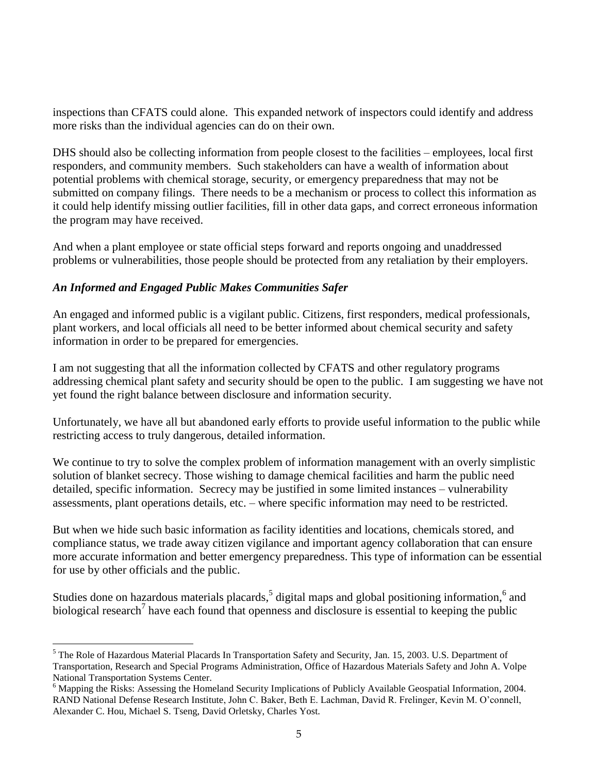inspections than CFATS could alone. This expanded network of inspectors could identify and address more risks than the individual agencies can do on their own.

DHS should also be collecting information from people closest to the facilities – employees, local first responders, and community members. Such stakeholders can have a wealth of information about potential problems with chemical storage, security, or emergency preparedness that may not be submitted on company filings. There needs to be a mechanism or process to collect this information as it could help identify missing outlier facilities, fill in other data gaps, and correct erroneous information the program may have received.

And when a plant employee or state official steps forward and reports ongoing and unaddressed problems or vulnerabilities, those people should be protected from any retaliation by their employers.

## *An Informed and Engaged Public Makes Communities Safer*

1

An engaged and informed public is a vigilant public. Citizens, first responders, medical professionals, plant workers, and local officials all need to be better informed about chemical security and safety information in order to be prepared for emergencies.

I am not suggesting that all the information collected by CFATS and other regulatory programs addressing chemical plant safety and security should be open to the public. I am suggesting we have not yet found the right balance between disclosure and information security.

Unfortunately, we have all but abandoned early efforts to provide useful information to the public while restricting access to truly dangerous, detailed information.

We continue to try to solve the complex problem of information management with an overly simplistic solution of blanket secrecy. Those wishing to damage chemical facilities and harm the public need detailed, specific information. Secrecy may be justified in some limited instances – vulnerability assessments, plant operations details, etc. – where specific information may need to be restricted.

But when we hide such basic information as facility identities and locations, chemicals stored, and compliance status, we trade away citizen vigilance and important agency collaboration that can ensure more accurate information and better emergency preparedness. This type of information can be essential for use by other officials and the public.

Studies done on hazardous materials placards,<sup>5</sup> digital maps and global positioning information,<sup>6</sup> and biological research<sup>7</sup> have each found that openness and disclosure is essential to keeping the public

<sup>5</sup> The Role of Hazardous Material Placards In Transportation Safety and Security, Jan. 15, 2003. U.S. Department of Transportation, Research and Special Programs Administration, Office of Hazardous Materials Safety and John A. Volpe National Transportation Systems Center.

<sup>6</sup> Mapping the Risks: Assessing the Homeland Security Implications of Publicly Available Geospatial Information, 2004. RAND National Defense Research Institute, John C. Baker, Beth E. Lachman, David R. Frelinger, Kevin M. O'connell, Alexander C. Hou, Michael S. Tseng, David Orletsky, Charles Yost.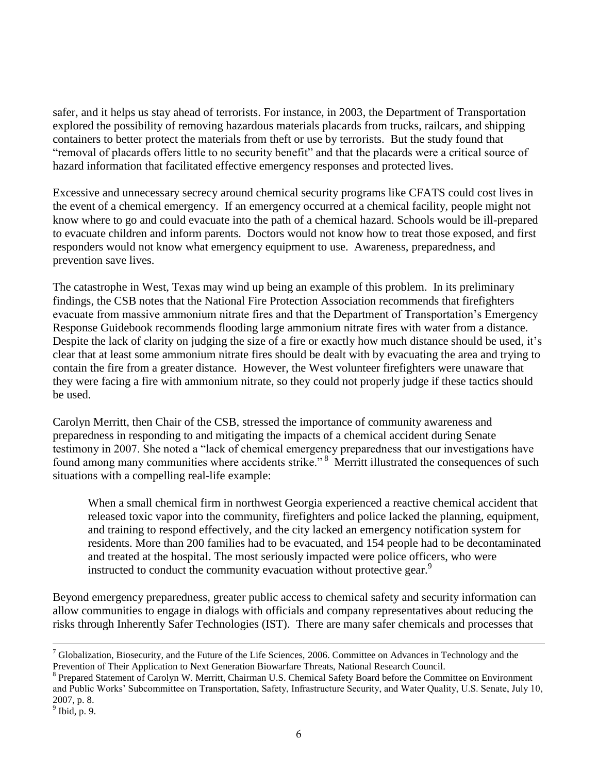safer, and it helps us stay ahead of terrorists. For instance, in 2003, the Department of Transportation explored the possibility of removing hazardous materials placards from trucks, railcars, and shipping containers to better protect the materials from theft or use by terrorists. But the study found that "removal of placards offers little to no security benefit" and that the placards were a critical source of hazard information that facilitated effective emergency responses and protected lives.

Excessive and unnecessary secrecy around chemical security programs like CFATS could cost lives in the event of a chemical emergency. If an emergency occurred at a chemical facility, people might not know where to go and could evacuate into the path of a chemical hazard. Schools would be ill-prepared to evacuate children and inform parents. Doctors would not know how to treat those exposed, and first responders would not know what emergency equipment to use. Awareness, preparedness, and prevention save lives.

The catastrophe in West, Texas may wind up being an example of this problem. In its preliminary findings, the CSB notes that the National Fire Protection Association recommends that firefighters evacuate from massive ammonium nitrate fires and that the Department of Transportation's Emergency Response Guidebook recommends flooding large ammonium nitrate fires with water from a distance. Despite the lack of clarity on judging the size of a fire or exactly how much distance should be used, it's clear that at least some ammonium nitrate fires should be dealt with by evacuating the area and trying to contain the fire from a greater distance. However, the West volunteer firefighters were unaware that they were facing a fire with ammonium nitrate, so they could not properly judge if these tactics should be used.

Carolyn Merritt, then Chair of the CSB, stressed the importance of community awareness and preparedness in responding to and mitigating the impacts of a chemical accident during Senate testimony in 2007. She noted a "lack of chemical emergency preparedness that our investigations have found among many communities where accidents strike."<sup>8</sup> Merritt illustrated the consequences of such situations with a compelling real-life example:

When a small chemical firm in northwest Georgia experienced a reactive chemical accident that released toxic vapor into the community, firefighters and police lacked the planning, equipment, and training to respond effectively, and the city lacked an emergency notification system for residents. More than 200 families had to be evacuated, and 154 people had to be decontaminated and treated at the hospital. The most seriously impacted were police officers, who were instructed to conduct the community evacuation without protective gear.<sup>9</sup>

Beyond emergency preparedness, greater public access to chemical safety and security information can allow communities to engage in dialogs with officials and company representatives about reducing the risks through Inherently Safer Technologies (IST). There are many safer chemicals and processes that

1

 $7$  Globalization, Biosecurity, and the Future of the Life Sciences, 2006. Committee on Advances in Technology and the Prevention of Their Application to Next Generation Biowarfare Threats, National Research Council.

<sup>8</sup> Prepared Statement of Carolyn W. Merritt, Chairman U.S. Chemical Safety Board before the Committee on Environment and Public Works' Subcommittee on Transportation, Safety, Infrastructure Security, and Water Quality, U.S. Senate, July 10, 2007, p. 8.

 $<sup>9</sup>$  Ibid, p. 9.</sup>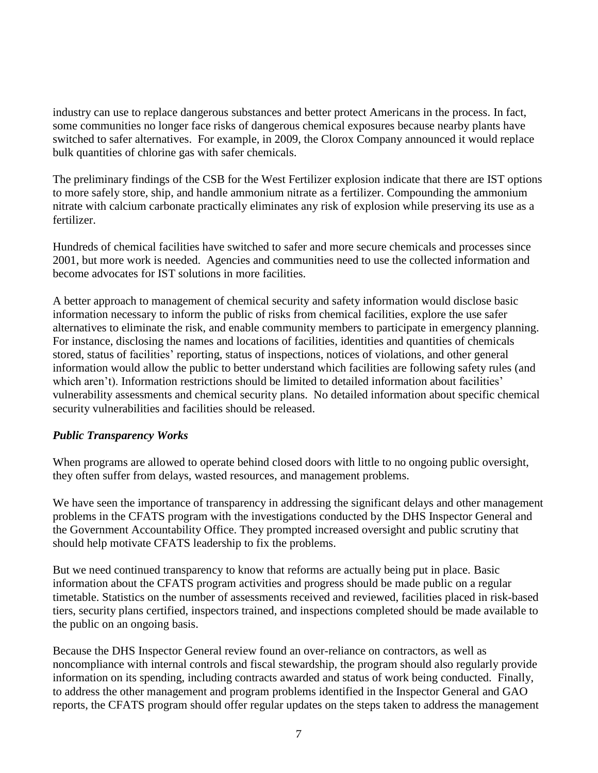industry can use to replace dangerous substances and better protect Americans in the process. In fact, some communities no longer face risks of dangerous chemical exposures because nearby plants have switched to safer alternatives. For example, in 2009, the Clorox Company announced it would replace bulk quantities of chlorine gas with safer chemicals.

The preliminary findings of the CSB for the West Fertilizer explosion indicate that there are IST options to more safely store, ship, and handle ammonium nitrate as a fertilizer. Compounding the ammonium nitrate with calcium carbonate practically eliminates any risk of explosion while preserving its use as a fertilizer.

Hundreds of chemical facilities have switched to safer and more secure chemicals and processes since 2001, but more work is needed. Agencies and communities need to use the collected information and become advocates for IST solutions in more facilities.

A better approach to management of chemical security and safety information would disclose basic information necessary to inform the public of risks from chemical facilities, explore the use safer alternatives to eliminate the risk, and enable community members to participate in emergency planning. For instance, disclosing the names and locations of facilities, identities and quantities of chemicals stored, status of facilities' reporting, status of inspections, notices of violations, and other general information would allow the public to better understand which facilities are following safety rules (and which aren't). Information restrictions should be limited to detailed information about facilities' vulnerability assessments and chemical security plans. No detailed information about specific chemical security vulnerabilities and facilities should be released.

## *Public Transparency Works*

When programs are allowed to operate behind closed doors with little to no ongoing public oversight, they often suffer from delays, wasted resources, and management problems.

We have seen the importance of transparency in addressing the significant delays and other management problems in the CFATS program with the investigations conducted by the DHS Inspector General and the Government Accountability Office. They prompted increased oversight and public scrutiny that should help motivate CFATS leadership to fix the problems.

But we need continued transparency to know that reforms are actually being put in place. Basic information about the CFATS program activities and progress should be made public on a regular timetable. Statistics on the number of assessments received and reviewed, facilities placed in risk-based tiers, security plans certified, inspectors trained, and inspections completed should be made available to the public on an ongoing basis.

Because the DHS Inspector General review found an over-reliance on contractors, as well as noncompliance with internal controls and fiscal stewardship, the program should also regularly provide information on its spending, including contracts awarded and status of work being conducted. Finally, to address the other management and program problems identified in the Inspector General and GAO reports, the CFATS program should offer regular updates on the steps taken to address the management